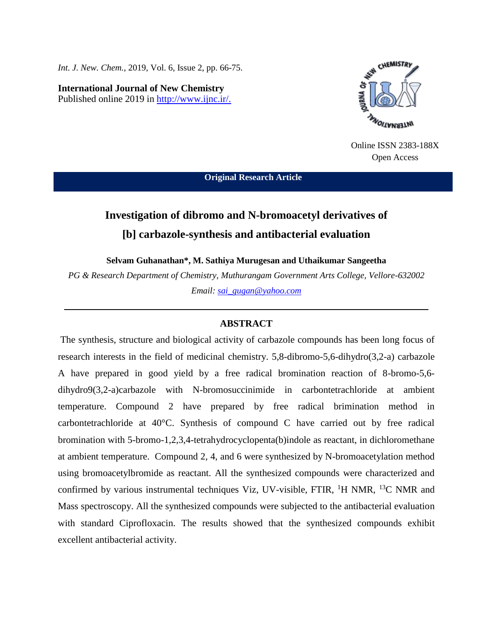*Int. J. New. Chem.*, 2019, Vol. 6, Issue 2, pp. 66-75.

**International Journal of New Chemistry** Published online 2019 in [http://www.ijnc.ir/.](http://www.ijnc.ir/)



Online ISSN 2383-188X Open Access

**Original Research Article**

# **Investigation of dibromo and N-bromoacetyl derivatives of [b] carbazole-synthesis and antibacterial evaluation**

**Selvam Guhanathan\*, M. Sathiya Murugesan and Uthaikumar Sangeetha**

*PG & Research Department of Chemistry, Muthurangam Government Arts College, Vellore-632002 Email: [sai\\_gugan@yahoo.com](mailto:sai_gugan@yahoo.com)*

## **ABSTRACT**

The synthesis, structure and biological activity of carbazole compounds has been long focus of research interests in the field of medicinal chemistry. 5,8-dibromo-5,6-dihydro(3,2-a) carbazole A have prepared in good yield by a free radical bromination reaction of 8-bromo-5,6 dihydro9(3,2-a)carbazole with N-bromosuccinimide in carbontetrachloride at ambient temperature. Compound 2 have prepared by free radical brimination method in carbontetrachloride at 40°C. Synthesis of compound C have carried out by free radical bromination with 5-bromo-1,2,3,4-tetrahydrocyclopenta(b)indole as reactant, in dichloromethane at ambient temperature. Compound 2, 4, and 6 were synthesized by N-bromoacetylation method using bromoacetylbromide as reactant. All the synthesized compounds were characterized and confirmed by various instrumental techniques Viz, UV-visible, FTIR,  ${}^{1}$ H NMR,  ${}^{13}$ C NMR and Mass spectroscopy. All the synthesized compounds were subjected to the antibacterial evaluation with standard Ciprofloxacin. The results showed that the synthesized compounds exhibit excellent antibacterial activity.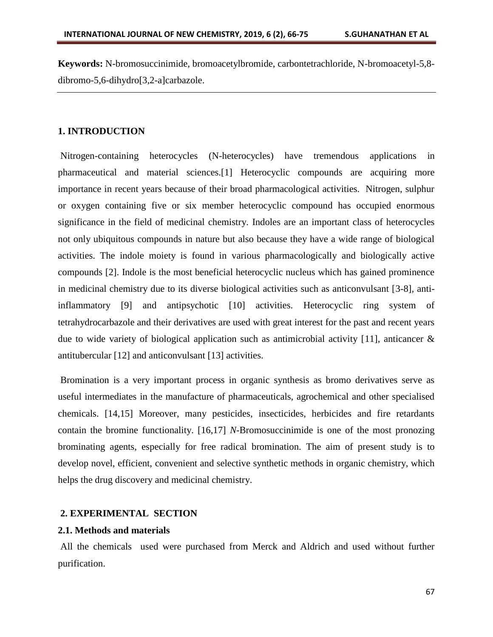**Keywords:** N-bromosuccinimide, bromoacetylbromide, carbontetrachloride, N-bromoacetyl-5,8 dibromo-5,6-dihydro[3,2-a]carbazole.

#### **1. INTRODUCTION**

Nitrogen-containing heterocycles (N-heterocycles) have tremendous applications in pharmaceutical and material sciences.[1] Heterocyclic compounds are acquiring more importance in recent years because of their broad pharmacological activities. Nitrogen, sulphur or oxygen containing five or six member heterocyclic compound has occupied enormous significance in the field of medicinal chemistry. Indoles are an important class of heterocycles not only ubiquitous compounds in nature but also because they have a wide range of biological activities. The indole moiety is found in various pharmacologically and biologically active compounds [2]. Indole is the most beneficial heterocyclic nucleus which has gained prominence in medicinal chemistry due to its diverse biological activities such as anticonvulsant [3-8]*,* antiinflammatory [9] and antipsychotic [10] activities. Heterocyclic ring system of tetrahydrocarbazole and their derivatives are used with great interest for the past and recent years due to wide variety of biological application such as antimicrobial activity [11], anticancer  $\&$ antitubercular [12] and anticonvulsant [13] activities.

Bromination is a very important process in organic synthesis as bromo derivatives serve as useful intermediates in the manufacture of pharmaceuticals, agrochemical and other specialised chemicals. [14,15] Moreover, many pesticides, insecticides, herbicides and fire retardants contain the bromine functionality. [16,17] *N*-Bromosuccinimide is one of the most pronozing brominating agents, especially for free radical bromination. The aim of present study is to develop novel, efficient, convenient and selective synthetic methods in organic chemistry, which helps the drug discovery and medicinal chemistry.

## **2. EXPERIMENTAL SECTION**

## **2.1. Methods and materials**

All the chemicals used were purchased from Merck and Aldrich and used without further purification.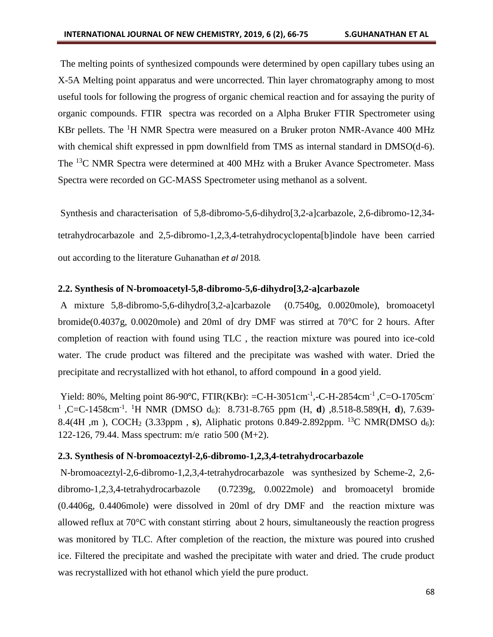The melting points of synthesized compounds were determined by open capillary tubes using an X-5A Melting point apparatus and were uncorrected. Thin layer chromatography among to most useful tools for following the progress of organic chemical reaction and for assaying the purity of organic compounds. FTIR spectra was recorded on a Alpha Bruker FTIR Spectrometer using KBr pellets. The <sup>1</sup>H NMR Spectra were measured on a Bruker proton NMR-Avance 400 MHz with chemical shift expressed in ppm downlfield from TMS as internal standard in DMSO(d-6). The <sup>13</sup>C NMR Spectra were determined at 400 MHz with a Bruker Avance Spectrometer. Mass Spectra were recorded on GC-MASS Spectrometer using methanol as a solvent.

Synthesis and characterisation of 5,8-dibromo-5,6-dihydro[3,2-a]carbazole, 2,6-dibromo-12,34 tetrahydrocarbazole and 2,5-dibromo-1,2,3,4-tetrahydrocyclopenta[b]indole have been carried out according to the literature Guhanathan *et al* 2018*.*

## **2.2. Synthesis of N-bromoacetyl-5,8-dibromo-5,6-dihydro[3,2-a]carbazole**

A mixture 5,8-dibromo-5,6-dihydro[3,2-a]carbazole (0.7540g, 0.0020mole), bromoacetyl bromide(0.4037g, 0.0020mole) and 20ml of dry DMF was stirred at 70°C for 2 hours. After completion of reaction with found using TLC , the reaction mixture was poured into ice-cold water. The crude product was filtered and the precipitate was washed with water. Dried the precipitate and recrystallized with hot ethanol, to afford compound **i**n a good yield.

Yield: 80%, Melting point 86-90°C, FTIR(KBr): =C-H-3051cm<sup>-1</sup>,-C-H-2854cm<sup>-1</sup>,C=O-1705cm<sup>-</sup> <sup>1</sup>,C=C-1458cm-1 . <sup>1</sup>H NMR (DMSO d6): 8.731-8.765 ppm (H, **d**) ,8.518-8.589(H, **d**), 7.639- 8.4(4H ,m ), COCH<sup>2</sup> (3.33ppm , **s**), Aliphatic protons 0.849-2.892ppm. <sup>13</sup>C NMR(DMSO d6): 122-126, 79.44. Mass spectrum: m/e ratio 500 (M+2).

## **2.3. Synthesis of N-bromoaceztyl-2,6-dibromo-1,2,3,4-tetrahydrocarbazole**

N-bromoaceztyl-2,6-dibromo-1,2,3,4-tetrahydrocarbazole was synthesized by Scheme-2, 2,6 dibromo-1,2,3,4-tetrahydrocarbazole (0.7239g, 0.0022mole) and bromoacetyl bromide (0.4406g, 0.4406mole) were dissolved in 20ml of dry DMF and the reaction mixture was allowed reflux at 70°C with constant stirring about 2 hours, simultaneously the reaction progress was monitored by TLC. After completion of the reaction, the mixture was poured into crushed ice. Filtered the precipitate and washed the precipitate with water and dried. The crude product was recrystallized with hot ethanol which yield the pure product.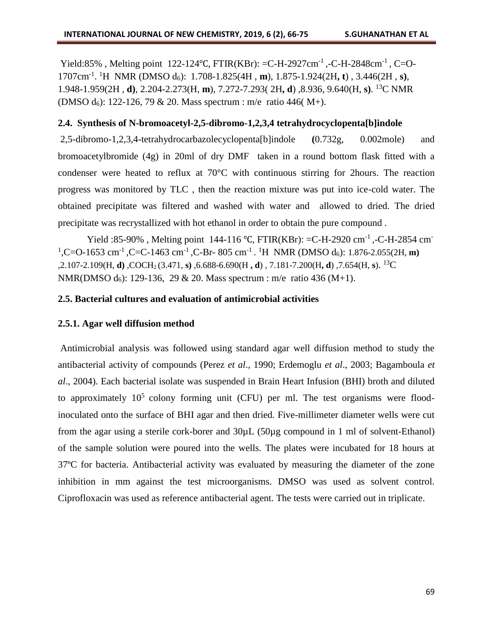Yield:85%, Melting point 122-124℃, FTIR(KBr): =C-H-2927cm<sup>-1</sup>,-C-H-2848cm<sup>-1</sup>, C=O-1707cm<sup>-1</sup>. <sup>1</sup>H NMR (DMSO d<sub>6</sub>): 1.708-1.825(4H, **m**), 1.875-1.924(2H, **t**), 3.446(2H, **s**), 1.948-1.959(2H , **d)**, 2.204-2.273(H, **m**), 7.272-7.293( 2H**, d**) ,8.936, 9.640(H, **s)**. <sup>13</sup>C NMR (DMSO d6): 122-126, 79 & 20. Mass spectrum : m/e ratio 446( M+).

# **2.4. Synthesis of N-bromoacetyl-2,5-dibromo-1,2,3,4 tetrahydrocyclopenta[b]indole**

2,5-dibromo-1,2,3,4-tetrahydrocarbazolecyclopenta[b]indole **(**0.732g, 0.002mole) and bromoacetylbromide (4g) in 20ml of dry DMF taken in a round bottom flask fitted with a condenser were heated to reflux at 70°C with continuous stirring for 2hours. The reaction progress was monitored by TLC , then the reaction mixture was put into ice-cold water. The obtained precipitate was filtered and washed with water and allowed to dried. The dried precipitate was recrystallized with hot ethanol in order to obtain the pure compound .

Yield :85-90%, Melting point 144-116 °C, FTIR(KBr): =C-H-2920 cm<sup>-1</sup>,-C-H-2854 cm<sup>-1</sup> <sup>1</sup>,C=O-1653 cm<sup>-1</sup>,C=C-1463 cm<sup>-1</sup>,C-Br- 805 cm<sup>-1</sup>. <sup>1</sup>H NMR (DMSO d<sub>6</sub>): 1.876-2.055(2H, m) ,2.107-2.109(H, **d)** ,COCH2 (3.471, **s)** ,6.688-6.690(H **, d**) , 7.181-7.200(H**, d**) ,7.654(H, **s**). <sup>13</sup>C NMR(DMSO d<sub>6</sub>): 129-136, 29 & 20. Mass spectrum : m/e ratio 436 (M+1).

## **2.5. Bacterial cultures and evaluation of antimicrobial activities**

## **2.5.1. Agar well diffusion method**

Antimicrobial analysis was followed using standard agar well diffusion method to study the antibacterial activity of compounds (Perez *et al*., 1990; Erdemoglu *et al*., 2003; Bagamboula *et al*., 2004). Each bacterial isolate was suspended in Brain Heart Infusion (BHI) broth and diluted to approximately  $10^5$  colony forming unit (CFU) per ml. The test organisms were floodinoculated onto the surface of BHI agar and then dried. Five-millimeter diameter wells were cut from the agar using a sterile cork-borer and 30µL (50µg compound in 1 ml of solvent-Ethanol) of the sample solution were poured into the wells. The plates were incubated for 18 hours at 37ºC for bacteria. Antibacterial activity was evaluated by measuring the diameter of the zone inhibition in mm against the test microorganisms. DMSO was used as solvent control. Ciprofloxacin was used as reference antibacterial agent. The tests were carried out in triplicate.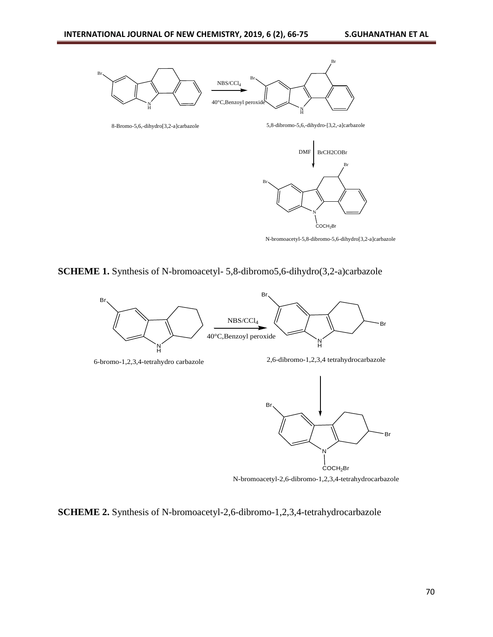

# **SCHEME 1.** Synthesis of N-bromoacetyl- 5,8-dibromo5,6-dihydro(3,2-a)carbazole



N-bromoacetyl-2,6-dibromo-1,2,3,4-tetrahydrocarbazole

# **SCHEME 2.** Synthesis of N-bromoacetyl-2,6-dibromo-1,2,3,4-tetrahydrocarbazole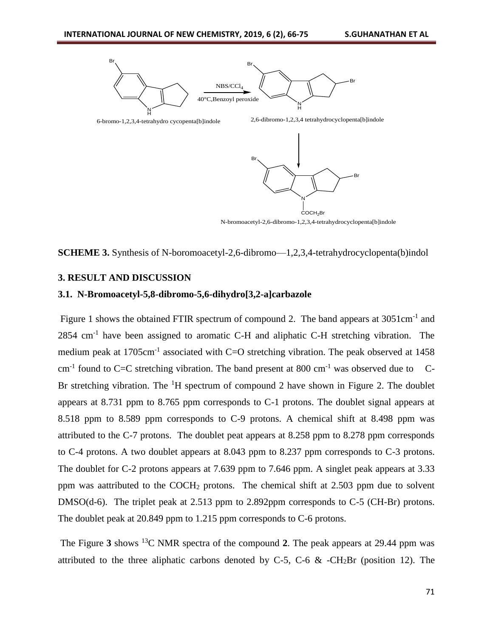

## **SCHEME 3.** Synthesis of N-boromoacetyl-2,6-dibromo—1,2,3,4-tetrahydrocyclopenta(b)indol

### **3. RESULT AND DISCUSSION**

## **3.1. N-Bromoacetyl-5,8-dibromo-5,6-dihydro[3,2-a]carbazole**

Figure 1 shows the obtained FTIR spectrum of compound 2. The band appears at  $3051 \text{cm}^{-1}$  and 2854 cm<sup>-1</sup> have been assigned to aromatic C-H and aliphatic C-H stretching vibration. The medium peak at 1705cm<sup>-1</sup> associated with C=O stretching vibration. The peak observed at 1458  $cm<sup>-1</sup>$  found to C=C stretching vibration. The band present at 800 cm<sup>-1</sup> was observed due to C-Br stretching vibration. The  ${}^{1}H$  spectrum of compound 2 have shown in Figure 2. The doublet appears at 8.731 ppm to 8.765 ppm corresponds to C-1 protons. The doublet signal appears at 8.518 ppm to 8.589 ppm corresponds to C-9 protons. A chemical shift at 8.498 ppm was attributed to the C-7 protons. The doublet peat appears at 8.258 ppm to 8.278 ppm corresponds to C-4 protons. A two doublet appears at 8.043 ppm to 8.237 ppm corresponds to C-3 protons. The doublet for C-2 protons appears at 7.639 ppm to 7.646 ppm. A singlet peak appears at 3.33 ppm was aattributed to the COCH<sup>2</sup> protons. The chemical shift at 2.503 ppm due to solvent DMSO(d-6). The triplet peak at 2.513 ppm to 2.892ppm corresponds to C-5 (CH-Br) protons. The doublet peak at 20.849 ppm to 1.215 ppm corresponds to C-6 protons.

The Figure **3** shows <sup>13</sup>C NMR spectra of the compound **2**. The peak appears at 29.44 ppm was attributed to the three aliphatic carbons denoted by C-5, C-6  $\&$  -CH<sub>2</sub>Br (position 12). The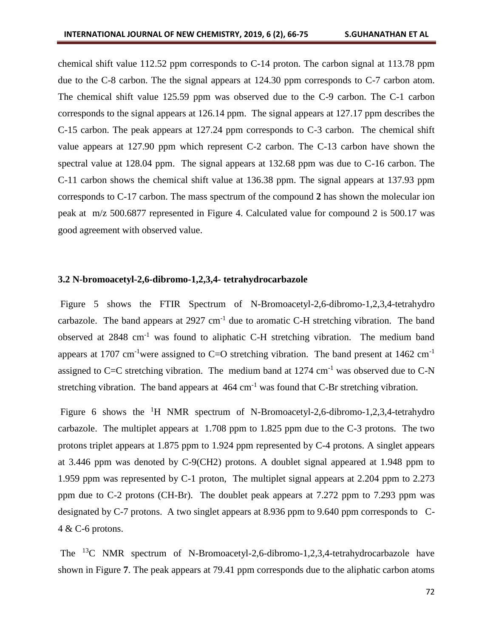chemical shift value 112.52 ppm corresponds to C-14 proton. The carbon signal at 113.78 ppm due to the C-8 carbon. The the signal appears at 124.30 ppm corresponds to C-7 carbon atom. The chemical shift value 125.59 ppm was observed due to the C-9 carbon. The C-1 carbon corresponds to the signal appears at 126.14 ppm. The signal appears at 127.17 ppm describes the C-15 carbon. The peak appears at 127.24 ppm corresponds to C-3 carbon. The chemical shift value appears at 127.90 ppm which represent C-2 carbon. The C-13 carbon have shown the spectral value at 128.04 ppm. The signal appears at 132.68 ppm was due to C-16 carbon. The C-11 carbon shows the chemical shift value at 136.38 ppm. The signal appears at 137.93 ppm corresponds to C-17 carbon. The mass spectrum of the compound **2** has shown the molecular ion peak at m/z 500.6877 represented in Figure 4. Calculated value for compound 2 is 500.17 was good agreement with observed value.

## **3.2 N-bromoacetyl-2,6-dibromo-1,2,3,4- tetrahydrocarbazole**

Figure 5 shows the FTIR Spectrum of N-Bromoacetyl-2,6-dibromo-1,2,3,4-tetrahydro carbazole. The band appears at  $2927 \text{ cm}^{-1}$  due to aromatic C-H stretching vibration. The band observed at  $2848 \text{ cm}^{-1}$  was found to aliphatic C-H stretching vibration. The medium band appears at 1707 cm<sup>-1</sup>were assigned to C=O stretching vibration. The band present at  $1462 \text{ cm}^{-1}$ assigned to C=C stretching vibration. The medium band at  $1274 \text{ cm}^{-1}$  was observed due to C-N stretching vibration. The band appears at  $464 \text{ cm}^{-1}$  was found that C-Br stretching vibration.

Figure 6 shows the <sup>1</sup>H NMR spectrum of N-Bromoacetyl-2,6-dibromo-1,2,3,4-tetrahydro carbazole. The multiplet appears at 1.708 ppm to 1.825 ppm due to the C-3 protons. The two protons triplet appears at 1.875 ppm to 1.924 ppm represented by C-4 protons. A singlet appears at 3.446 ppm was denoted by C-9(CH2) protons. A doublet signal appeared at 1.948 ppm to 1.959 ppm was represented by C-1 proton, The multiplet signal appears at 2.204 ppm to 2.273 ppm due to C-2 protons (CH-Br). The doublet peak appears at 7.272 ppm to 7.293 ppm was designated by C-7 protons. A two singlet appears at 8.936 ppm to 9.640 ppm corresponds to C-4 & C-6 protons.

The <sup>13</sup>C NMR spectrum of N-Bromoacetyl-2,6-dibromo-1,2,3,4-tetrahydrocarbazole have shown in Figure **7**. The peak appears at 79.41 ppm corresponds due to the aliphatic carbon atoms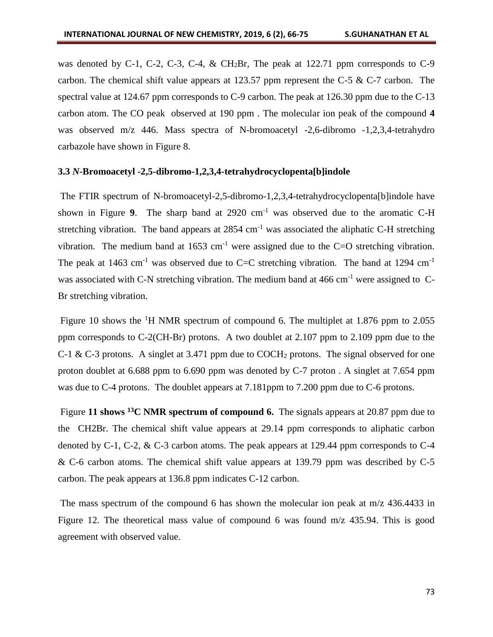was denoted by C-1, C-2, C-3, C-4, & CH2Br, The peak at 122.71 ppm corresponds to C-9 carbon. The chemical shift value appears at 123.57 ppm represent the C-5  $\&$  C-7 carbon. The spectral value at 124.67 ppm corresponds to C-9 carbon. The peak at 126.30 ppm due to the C-13 carbon atom. The CO peak observed at 190 ppm . The molecular ion peak of the compound **4** was observed m/z 446. Mass spectra of N-bromoacetyl -2,6-dibromo -1,2,3,4-tetrahydro carbazole have shown in Figure 8.

## **3.3** *N***-Bromoacetyl -2,5-dibromo-1,2,3,4-tetrahydrocyclopenta[b]indole**

The FTIR spectrum of N-bromoacetyl-2,5-dibromo-1,2,3,4-tetrahydrocyclopenta[b]indole have shown in Figure 9. The sharp band at  $2920 \text{ cm}^{-1}$  was observed due to the aromatic C-H stretching vibration. The band appears at  $2854 \text{ cm}^{-1}$  was associated the aliphatic C-H stretching vibration. The medium band at 1653 cm<sup>-1</sup> were assigned due to the C=O stretching vibration. The peak at 1463 cm<sup>-1</sup> was observed due to C=C stretching vibration. The band at 1294 cm<sup>-1</sup> was associated with C-N stretching vibration. The medium band at  $466 \text{ cm}^{-1}$  were assigned to C-Br stretching vibration.

Figure 10 shows the <sup>1</sup>H NMR spectrum of compound 6. The multiplet at 1.876 ppm to 2.055 ppm corresponds to C-2(CH-Br) protons. A two doublet at 2.107 ppm to 2.109 ppm due to the C-1 & C-3 protons. A singlet at 3.471 ppm due to COCH<sup>2</sup> protons. The signal observed for one proton doublet at 6.688 ppm to 6.690 ppm was denoted by C-7 proton . A singlet at 7.654 ppm was due to C-4 protons. The doublet appears at 7.181ppm to 7.200 ppm due to C-6 protons.

Figure **11 shows <sup>13</sup>C NMR spectrum of compound 6.** The signals appears at 20.87 ppm due to the CH2Br. The chemical shift value appears at 29.14 ppm corresponds to aliphatic carbon denoted by C-1, C-2, & C-3 carbon atoms. The peak appears at 129.44 ppm corresponds to C-4 & C-6 carbon atoms. The chemical shift value appears at 139.79 ppm was described by C-5 carbon. The peak appears at 136.8 ppm indicates C-12 carbon.

The mass spectrum of the compound 6 has shown the molecular ion peak at m/z 436.4433 in Figure 12. The theoretical mass value of compound 6 was found m/z 435.94. This is good agreement with observed value.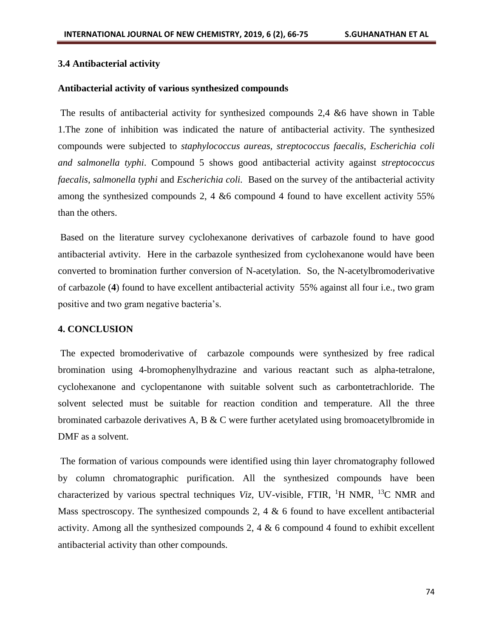## **3.4 Antibacterial activity**

## **Antibacterial activity of various synthesized compounds**

The results of antibacterial activity for synthesized compounds 2,4 &6 have shown in Table 1.The zone of inhibition was indicated the nature of antibacterial activity. The synthesized compounds were subjected to *staphylococcus aureas, streptococcus faecalis, Escherichia coli and salmonella typhi*. Compound 5 shows good antibacterial activity against *streptococcus faecalis*, *salmonella typhi* and *Escherichia coli.* Based on the survey of the antibacterial activity among the synthesized compounds 2, 4 &6 compound 4 found to have excellent activity 55% than the others.

Based on the literature survey cyclohexanone derivatives of carbazole found to have good antibacterial avtivity. Here in the carbazole synthesized from cyclohexanone would have been converted to bromination further conversion of N-acetylation. So, the N-acetylbromoderivative of carbazole (**4**) found to have excellent antibacterial activity 55% against all four i.e., two gram positive and two gram negative bacteria's.

### **4. CONCLUSION**

The expected bromoderivative of carbazole compounds were synthesized by free radical bromination using 4-bromophenylhydrazine and various reactant such as alpha-tetralone, cyclohexanone and cyclopentanone with suitable solvent such as carbontetrachloride. The solvent selected must be suitable for reaction condition and temperature. All the three brominated carbazole derivatives A, B & C were further acetylated using bromoacetylbromide in DMF as a solvent.

The formation of various compounds were identified using thin layer chromatography followed by column chromatographic purification. All the synthesized compounds have been characterized by various spectral techniques  $Viz$ , UV-visible, FTIR, <sup>1</sup>H NMR, <sup>13</sup>C NMR and Mass spectroscopy. The synthesized compounds 2, 4  $\&$  6 found to have excellent antibacterial activity. Among all the synthesized compounds 2, 4 & 6 compound 4 found to exhibit excellent antibacterial activity than other compounds.